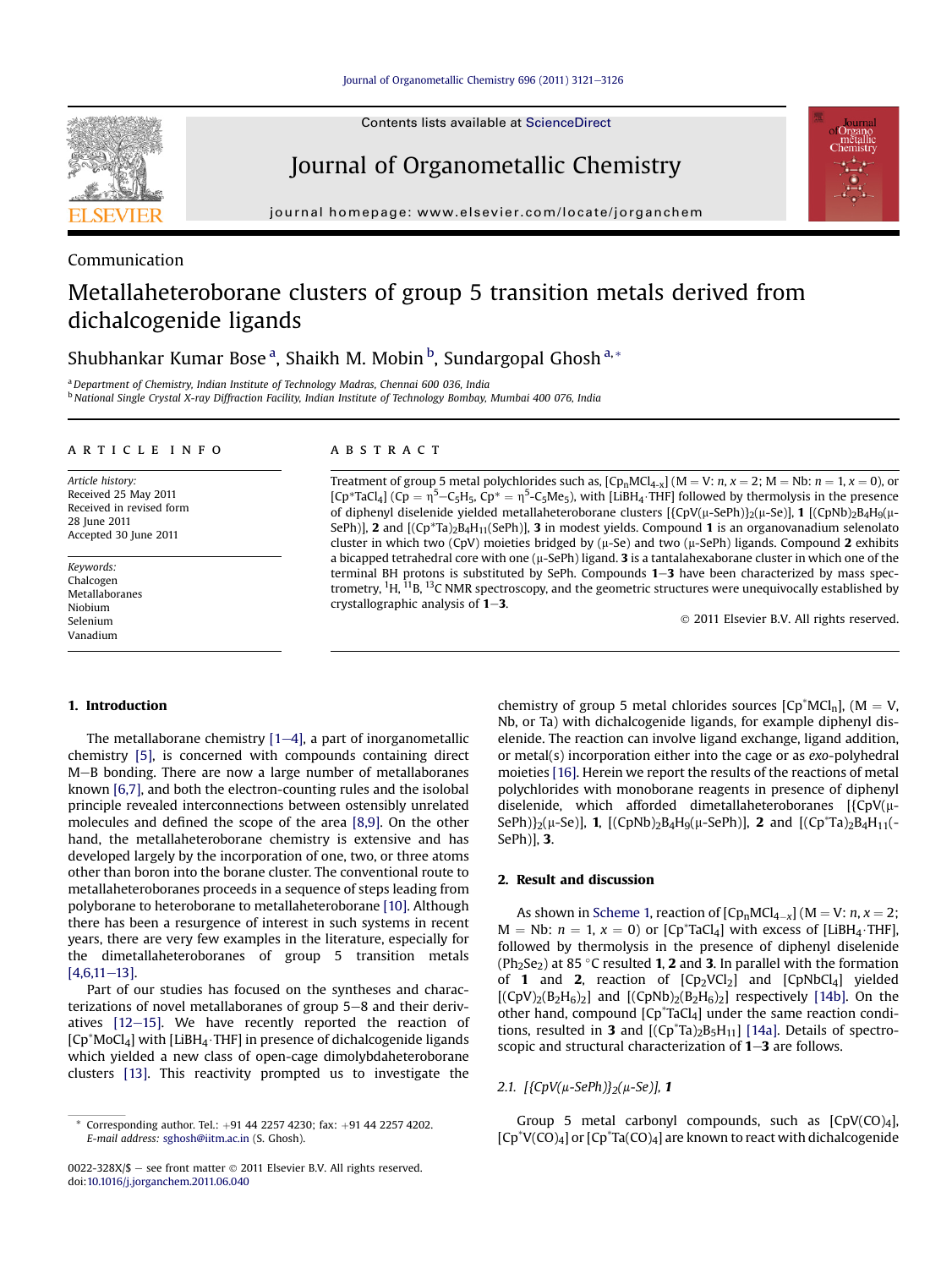# Metallaheteroborane clusters of group 5 transition metals derived from dichalcogenide ligands

# Shubhankar Kumar Bose <sup>a</sup>, Shaikh M. Mobin <sup>b</sup>, Sundargopal Ghosh <sup>a,</sup>\*

<sup>a</sup> Department of Chemistry, Indian Institute of Technology Madras, Chennai 600 036, India <sup>b</sup> National Single Crystal X-ray Diffraction Facility, Indian Institute of Technology Bombay, Mumbai 400 076, India

#### article info

Article history: Received 25 May 2011 Received in revised form 28 June 2011 Accepted 30 June 2011

Keywords: Chalcogen Metallaboranes Niobium Selenium Vanadium

# 1. Introduction

The metallaborane chemistry  $[1-4]$  $[1-4]$ , a part of inorganometallic chemistry [\[5\]](#page-5-0), is concerned with compounds containing direct M-B bonding. There are now a large number of metallaboranes known [\[6,7\]](#page-5-0), and both the electron-counting rules and the isolobal principle revealed interconnections between ostensibly unrelated molecules and defined the scope of the area [\[8,9\].](#page-5-0) On the other hand, the metallaheteroborane chemistry is extensive and has developed largely by the incorporation of one, two, or three atoms other than boron into the borane cluster. The conventional route to metallaheteroboranes proceeds in a sequence of steps leading from polyborane to heteroborane to metallaheteroborane [\[10\].](#page-5-0) Although there has been a resurgence of interest in such systems in recent years, there are very few examples in the literature, especially for the dimetallaheteroboranes of group 5 transition metals  $[4,6,11-13]$  $[4,6,11-13]$  $[4,6,11-13]$ .

Part of our studies has focused on the syntheses and characterizations of novel metallaboranes of group  $5-8$  and their derivatives  $[12-15]$  $[12-15]$ . We have recently reported the reaction of  $[CD^*MoCl_4]$  with  $[LiBH_4 \cdot THF]$  in presence of dichalcogenide ligands which yielded a new class of open-cage dimolybdaheteroborane clusters [\[13\]](#page-5-0). This reactivity prompted us to investigate the

#### **ABSTRACT**

Treatment of group 5 metal polychlorides such as,  $[Cp_nMCl_{4-x}]$   $(M = V: n, x = 2; M = Nb: n = 1, x = 0)$ , or  $[CP^*TaCl_4]$  (Cp =  $\eta^5 - C_5H_5$ , Cp<sup>\*</sup> =  $\eta^5 - C_5Me_5$ ), with [LiBH<sub>4</sub>·THF] followed by thermolysis in the presence of diphenyl diselenide yielded metallaheteroborane clusters  $[\{CpV(\mu-SePh)\}\alpha(EpV(\mu-Se)]$ , 1  $[(CpNb)_2B_4H_9(\mu-Se)]$ SePh)], 2 and  $[(Cp*Ta)_{2}B_4H_{11}(SePh)]$ , 3 in modest yields. Compound 1 is an organovanadium selenolato cluster in which two (CpV) moieties bridged by ( $\mu$ -Se) and two ( $\mu$ -SePh) ligands. Compound 2 exhibits a bicapped tetrahedral core with one  $(\mu$ -SePh) ligand. 3 is a tantalahexaborane cluster in which one of the terminal BH protons is substituted by SePh. Compounds  $1-3$  have been characterized by mass spectrometry, <sup>1</sup>H, <sup>11</sup>B, <sup>13</sup>C NMR spectroscopy, and the geometric structures were unequivocally established by crystallographic analysis of  $1-3$ .

2011 Elsevier B.V. All rights reserved.

chemistry of group 5 metal chlorides sources  $[Cp^*MCl_n]$ ,  $(M = V$ , Nb, or Ta) with dichalcogenide ligands, for example diphenyl diselenide. The reaction can involve ligand exchange, ligand addition, or metal(s) incorporation either into the cage or as exo-polyhedral moieties [\[16\].](#page-5-0) Herein we report the results of the reactions of metal polychlorides with monoborane reagents in presence of diphenyl diselenide, which afforded dimetallaheteroboranes  $[\{CpV(\mu-\mu)\}]$ SePh)}<sub>2</sub>( $\mu$ -Se)], **1**,  $[(CpNb)_2B_4H_9(\mu$ -SePh)], **2** and  $[(Cp^*Ta)_2B_4H_{11}(-$ SePh)], 3.

#### 2. Result and discussion

As shown in [Scheme 1,](#page-1-0) reaction of  $[CD<sub>n</sub>MCI<sub>4-x</sub>]$  ( $M = V: n, x = 2;$  $M = Nb: n = 1, x = 0$ ) or  $[Cp^*TaCl_4]$  with excess of  $[LiBH_4 \cdot THF]$ , followed by thermolysis in the presence of diphenyl diselenide (Ph<sub>2</sub>Se<sub>2</sub>) at 85 °C resulted 1, 2 and 3. In parallel with the formation of 1 and 2, reaction of  $[CD_2VCl_2]$  and  $[CDNbCl_4]$  yielded  $[(CpV)_2(B_2H_6)_2]$  and  $[(CpNb)_2(B_2H_6)_2]$  respectively [\[14b\]](#page-5-0). On the other hand, compound [Cp\*TaCl4] under the same reaction conditions, resulted in 3 and  $[(Cp^*Ta)_2B_5H_{11}]$  [\[14a\]](#page-5-0). Details of spectroscopic and structural characterization of  $1-3$  are follows.

2.1.  $[{CpV(\mu-SePh)}_2(\mu-Se)$ , 1

Group 5 metal carbonyl compounds, such as  $[CPV(CO)<sub>4</sub>]$ ,  $[Cp^*V(CO)_4]$  or  $[Cp^*Ta(CO)_4]$  are known to react with dichalcogenide

 $*$  Corresponding author. Tel.:  $+91$  44 2257 4230; fax:  $+91$  44 2257 4202. E-mail address: [sghosh@iitm.ac.in](mailto:sghosh@iitm.ac.in) (S. Ghosh).

<sup>0022-328</sup>X/\$ - see front matter  $\odot$  2011 Elsevier B.V. All rights reserved. doi[:10.1016/j.jorganchem.2011.06.040](http://dx.doi.org/10.1016/j.jorganchem.2011.06.040)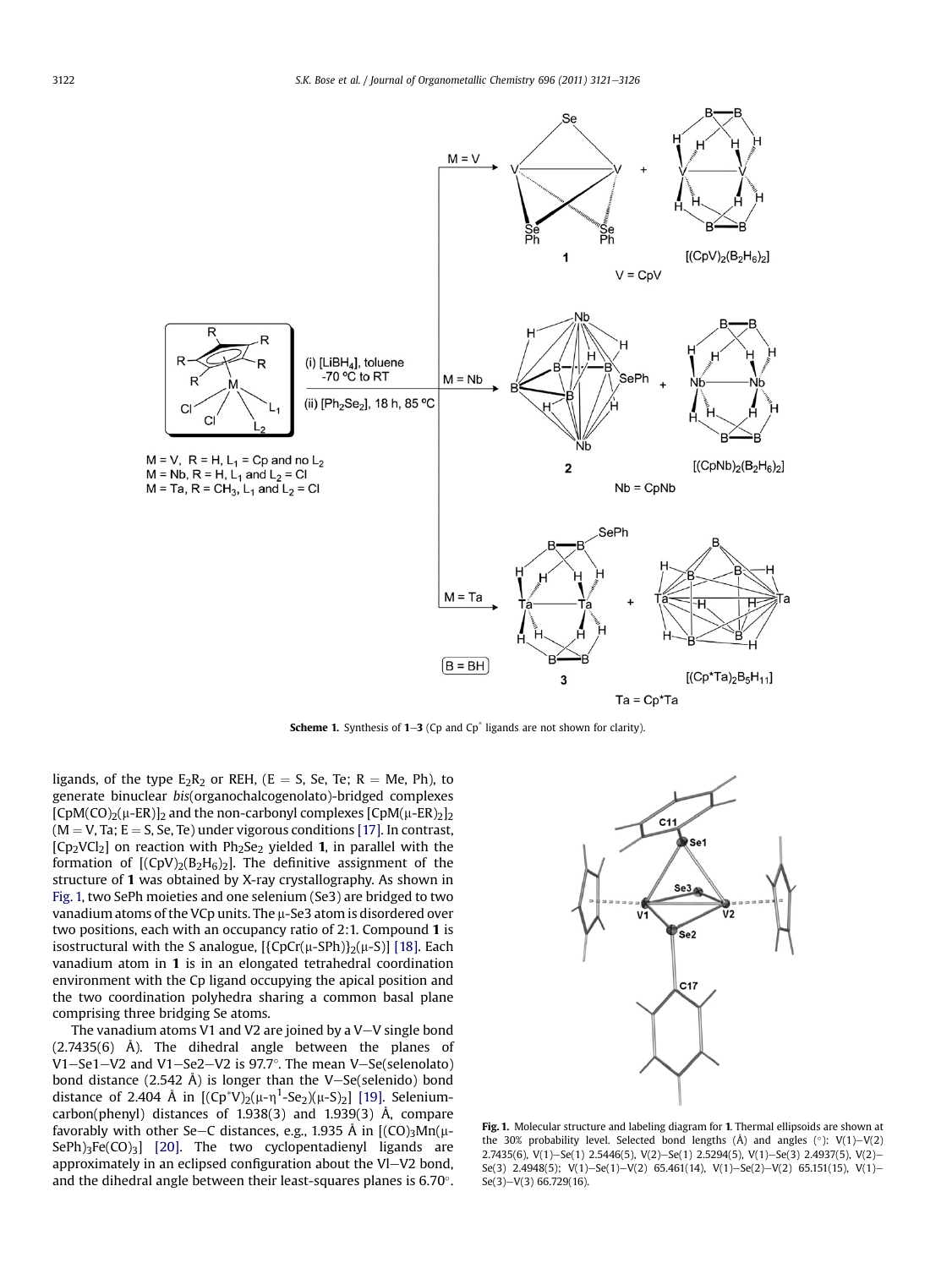<span id="page-1-0"></span>

**Scheme 1.** Synthesis of  $1-3$  (Cp and Cp<sup>\*</sup> ligands are not shown for clarity).

ligands, of the type  $E_2R_2$  or REH, (E = S, Se, Te; R = Me, Ph), to generate binuclear bis(organochalcogenolato)-bridged complexes  $[CDM(CO)<sub>2</sub>(\mu-ER)]<sub>2</sub>$  and the non-carbonyl complexes  $[CDM(\mu-ER)<sub>2</sub>]$ <sub>2</sub>  $(M = V, Ta; E = S, Se, Te)$  under vigorous conditions [\[17\]](#page-5-0). In contrast,  $[Cp_2VCl_2]$  on reaction with  $Ph_2Se_2$  yielded 1, in parallel with the formation of  $[(CpV)_2(B_2H_6)_2]$ . The definitive assignment of the structure of 1 was obtained by X-ray crystallography. As shown in Fig. 1, two SePh moieties and one selenium (Se3) are bridged to two vanadium atoms of the VCp units. The  $\mu$ -Se3 atom is disordered over two positions, each with an occupancy ratio of 2:1. Compound 1 is isostructural with the S analogue,  $[{CpCr(\mu-SPh)}_2(\mu-S)]$  [\[18\].](#page-5-0) Each vanadium atom in 1 is in an elongated tetrahedral coordination environment with the Cp ligand occupying the apical position and the two coordination polyhedra sharing a common basal plane comprising three bridging Se atoms.

The vanadium atoms V1 and V2 are joined by a V-V single bond (2.7435(6) Å). The dihedral angle between the planes of V1—Se1—V2 and V1—Se2—V2 is 97.7°. The mean V—Se(selenolato) bond distance  $(2.542 \text{ Å})$  is longer than the V-Se(selenido) bond distance of 2.404 Å in  $[(Cp^*V)_2(\mu-\eta^1-Se_2)(\mu-S)_2]$  [\[19\]](#page-5-0). Seleniumcarbon(phenyl) distances of 1.938(3) and 1.939(3) Å, compare favorably with other Se-C distances, e.g., 1.935 Å in  $[(CO)<sub>3</sub>Mn(\mu-$ SePh) $_3$ Fe(CO) $_3$ ] [\[20\]](#page-5-0). The two cyclopentadienyl ligands are approximately in an eclipsed configuration about the Vl $-V2$  bond, and the dihedral angle between their least-squares planes is 6.70°.



Fig. 1. Molecular structure and labeling diagram for 1. Thermal ellipsoids are shown at the 30% probability level. Selected bond lengths  $(A)$  and angles  $(°)$ : V(1)-V(2) 2.7435(6), V(1)-Se(1) 2.5446(5), V(2)-Se(1) 2.5294(5), V(1)-Se(3) 2.4937(5), V(2)-Se(3) 2.4948(5); V(1)-Se(1)-V(2) 65.461(14), V(1)-Se(2)-V(2) 65.151(15), V(1)- $Se(3)-V(3) 66.729(16).$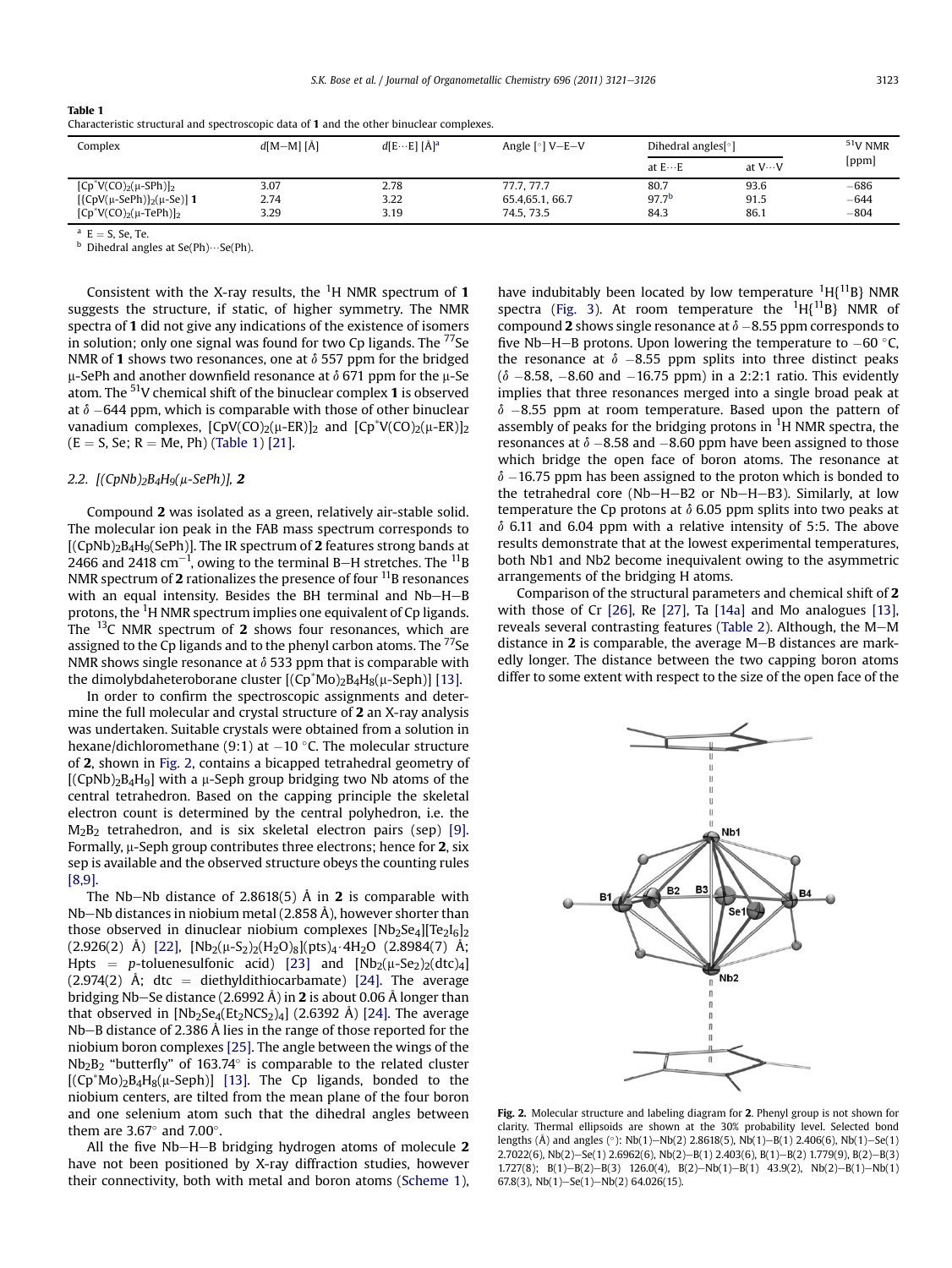| Complex                         | $d[M-M][A]$ | $d[EE] [\AA]^a$ | Angle $\lceil \circ \rceil$ V-E-V | Dihedral angles <sup>[°</sup> ] |                 | $51$ V NMR |
|---------------------------------|-------------|-----------------|-----------------------------------|---------------------------------|-----------------|------------|
|                                 |             |                 |                                   | at $E \cdots E$                 | at $V \cdots V$ | [ppm]      |
| $[Cp^*V(CO)_2(\mu-SPh)]_2$      | 3.07        | 2.78            | 77.7.77.7                         | 80.7                            | 93.6            | $-686$     |
| $[{CpV(\mu-SePh)}_2(\mu-Se)]$ 1 | 2.74        | 3.22            | 65.4, 65.1, 66.7                  | $97.7^{b}$                      | 91.5            | $-644$     |
| $[Cp^*V(CO)_2(\mu-TePh)]_2$     | 3.29        | 3.19            | 74.5, 73.5                        | 84.3                            | 86.1            | $-804$     |

Characteristic structural and spectroscopic data of 1 and the other binuclear complexes.

Table 1

<sup>a</sup> E = S, Se, Te.<br><sup>b</sup> Dihedral angles at Se(Ph) $\cdots$ Se(Ph).

Consistent with the X-ray results, the  ${}^{1}$ H NMR spectrum of 1 suggests the structure, if static, of higher symmetry. The NMR spectra of 1 did not give any indications of the existence of isomers in solution; only one signal was found for two  $C<sub>p</sub>$  ligands. The  $^{77}$ Se NMR of 1 shows two resonances, one at  $\delta$  557 ppm for the bridged  $\mu$ -SePh and another downfield resonance at  $\delta$  671 ppm for the  $\mu$ -Se atom. The  $51V$  chemical shift of the binuclear complex 1 is observed at  $\delta$  –644 ppm, which is comparable with those of other binuclear vanadium complexes,  $[CDV(CO)<sub>2</sub>(\mu-ER)]<sub>2</sub>$  and  $[CD^*V(CO)<sub>2</sub>(\mu-ER)]<sub>2</sub>$  $(E = S, Se; R = Me, Ph)$  (Table 1) [\[21\].](#page-5-0)

#### 2.2.  $[(CpNb)_2B_4H_9(\mu-SePh)]$ , 2

Compound 2 was isolated as a green, relatively air-stable solid. The molecular ion peak in the FAB mass spectrum corresponds to  $[(CpNb)<sub>2</sub>B<sub>4</sub>H<sub>9</sub>(SePh)]$ . The IR spectrum of 2 features strong bands at 2466 and 2418 cm $^{-1}$ , owing to the terminal B–H stretches. The  $^{11}{\rm B}$ NMR spectrum of 2 rationalizes the presence of four  $^{11}$ B resonances with an equal intensity. Besides the BH terminal and  $Nb-H-B$ protons, the <sup>1</sup>H NMR spectrum implies one equivalent of Cp ligands. The  $^{13}$ C NMR spectrum of 2 shows four resonances, which are assigned to the Cp ligands and to the phenyl carbon atoms. The  $^{77}$ Se NMR shows single resonance at  $\delta$  533 ppm that is comparable with the dimolybdaheteroborane cluster  $[(Cp*Mo)_2B_4H_8(\mu-Seph)]$  [\[13\]](#page-5-0).

In order to confirm the spectroscopic assignments and determine the full molecular and crystal structure of 2 an X-ray analysis was undertaken. Suitable crystals were obtained from a solution in hexane/dichloromethane (9:1) at  $-10$  °C. The molecular structure of 2, shown in Fig. 2, contains a bicapped tetrahedral geometry of  $[(CpNb)<sub>2</sub>B<sub>4</sub>H<sub>9</sub>]$  with a µ-Seph group bridging two Nb atoms of the central tetrahedron. Based on the capping principle the skeletal electron count is determined by the central polyhedron, i.e. the  $M_2B_2$  tetrahedron, and is six skeletal electron pairs (sep) [\[9\].](#page-5-0) Formally,  $\mu$ -Seph group contributes three electrons; hence for 2, six sep is available and the observed structure obeys the counting rules [\[8,9\].](#page-5-0)

The Nb-Nb distance of 2.8618(5) Å in 2 is comparable with Nb-Nb distances in niobium metal (2.858 Å), however shorter than those observed in dinuclear niobium complexes  $[Nb<sub>2</sub>Se<sub>4</sub>][Te<sub>2</sub>I<sub>6</sub>]<sub>2</sub>$  $(2.926(2)$  Å)  $[22]$ ,  $[Nb_2(\mu-S_2)_2(H_2O)_8](pts)_4 \cdot 4H_2O$   $(2.8984(7)$  Å; Hpts = p-toluenesulfonic acid) [\[23\]](#page-5-0) and  $[Nb_2(\mu-Se_2)_2(dtc)_4]$  $(2.974(2)$  Å; dtc = diethyldithiocarbamate) [\[24\].](#page-5-0) The average bridging Nb–Se distance (2.6992 Å) in 2 is about 0.06 Å longer than that observed in  $[Nb_2Se_4(Et_2NCS_2)_4]$  (2.6392 Å) [\[24\].](#page-5-0) The average  $Nb-B$  distance of 2.386 Å lies in the range of those reported for the niobium boron complexes [\[25\]](#page-5-0). The angle between the wings of the  $Nb<sub>2</sub>B<sub>2</sub>$  "butterfly" of 163.74 $\degree$  is comparable to the related cluster  $[(Cp*MO)_2B_4H_8(\mu-Seph)]$  [\[13\].](#page-5-0) The Cp ligands, bonded to the niobium centers, are tilted from the mean plane of the four boron and one selenium atom such that the dihedral angles between them are  $3.67^{\circ}$  and  $7.00^{\circ}$ .

All the five Nb-H-B bridging hydrogen atoms of molecule  $2$ have not been positioned by X-ray diffraction studies, however their connectivity, both with metal and boron atoms [\(Scheme 1\)](#page-1-0),

have indubitably been located by low temperature  ${}^{1}H{^{11}B}$  NMR spectra [\(Fig. 3](#page-3-0)). At room temperature the  ${}^{1}H{^{11}B}$  NMR of compound 2 shows single resonance at  $\delta$  –8.55 ppm corresponds to five Nb-H-B protons. Upon lowering the temperature to  $-60^{\circ}C$ , the resonance at  $\delta$  -8.55 ppm splits into three distinct peaks  $(\delta$   $-8.58, -8.60$  and  $-16.75$  ppm) in a 2:2:1 ratio. This evidently implies that three resonances merged into a single broad peak at  $\delta$  –8.55 ppm at room temperature. Based upon the pattern of assembly of peaks for the bridging protons in  ${}^{1}$ H NMR spectra, the resonances at  $\delta$  –8.58 and –8.60 ppm have been assigned to those which bridge the open face of boron atoms. The resonance at  $\delta$  –16.75 ppm has been assigned to the proton which is bonded to the tetrahedral core (Nb-H-B2 or Nb-H-B3). Similarly, at low temperature the Cp protons at  $\delta$  6.05 ppm splits into two peaks at  $\delta$  6.11 and 6.04 ppm with a relative intensity of 5:5. The above results demonstrate that at the lowest experimental temperatures, both Nb1 and Nb2 become inequivalent owing to the asymmetric arrangements of the bridging H atoms.

Comparison of the structural parameters and chemical shift of 2 with those of Cr [\[26\],](#page-5-0) Re [\[27\],](#page-5-0) Ta [\[14a\]](#page-5-0) and Mo analogues [\[13\],](#page-5-0) reveals several contrasting features ([Table 2\)](#page-3-0). Although, the M-M distance in  $2$  is comparable, the average M-B distances are markedly longer. The distance between the two capping boron atoms differ to some extent with respect to the size of the open face of the



Fig. 2. Molecular structure and labeling diagram for 2. Phenyl group is not shown for clarity. Thermal ellipsoids are shown at the 30% probability level. Selected bond lengths (Å) and angles (°): Nb(1)-Nb(2) 2.8618(5), Nb(1)-B(1) 2.406(6), Nb(1)-Se(1)  $2.7022(6)$ , Nb(2)-Se(1) 2.6962(6), Nb(2)-B(1) 2.403(6), B(1)-B(2) 1.779(9), B(2)-B(3)  $1.727(8); B(1)-B(2)-B(3) 126.0(4), B(2)-Nb(1)-B(1) 43.9(2), Nb(2)-B(1)-Nb(1)\\$ 67.8(3), Nb(1)-Se(1)-Nb(2) 64.026(15).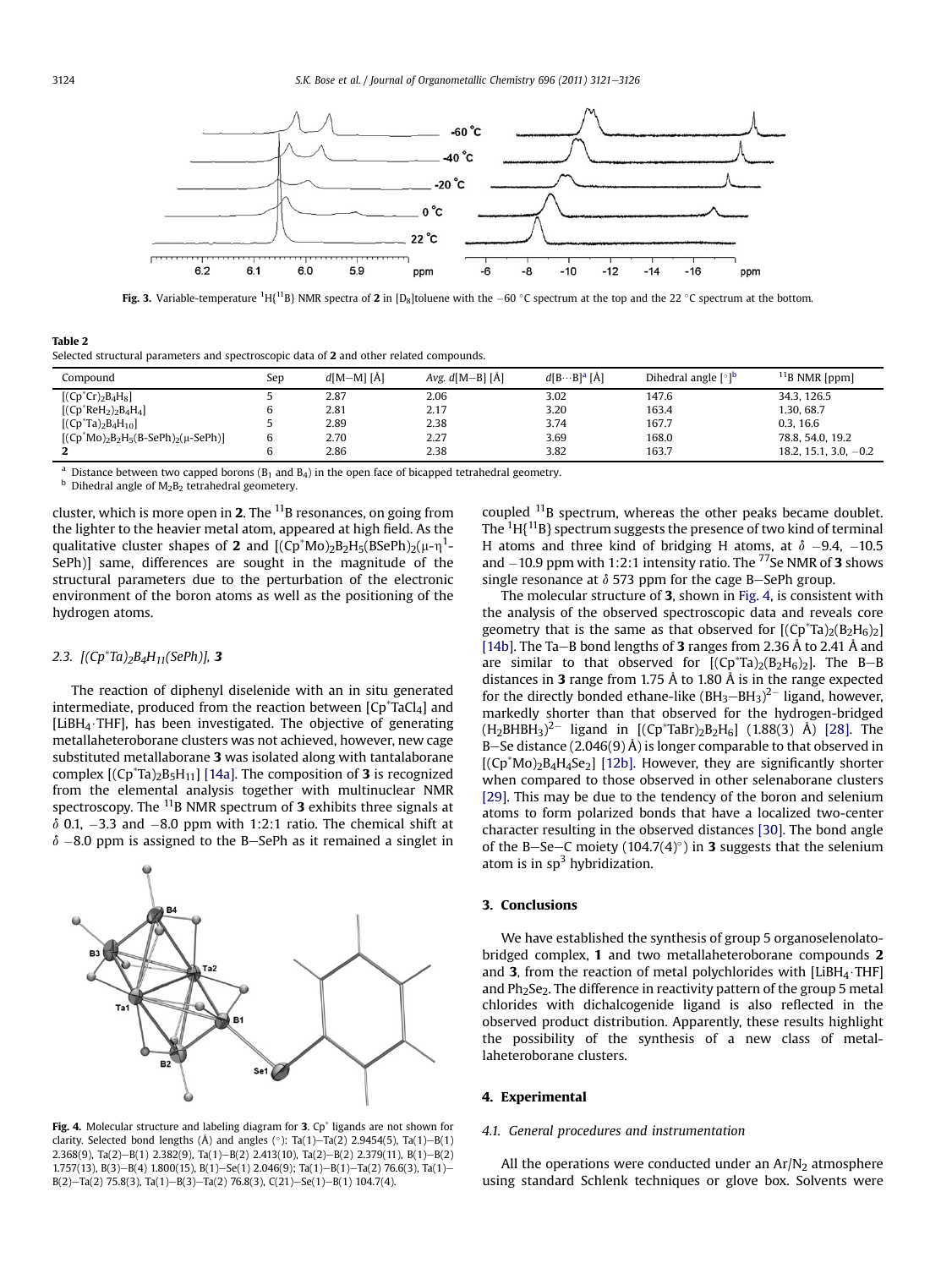<span id="page-3-0"></span>

**Fig. 3.** Variable-temperature <sup>1</sup>H{<sup>11</sup>B} NMR spectra of **2** in [D<sub>8</sub>]toluene with the  $-60$  °C spectrum at the top and the 22 °C spectrum at the bottom.

# Table 2 Selected structural parameters and spectroscopic data of 2 and other related compounds.

| Compound                                | Sep | $d[M-M][A]$ | Avg. $d[M-B] [\AA]$ | $d[B\cdots B]^a$ [Å] | Dihedral angle [°] <sup>b</sup> | <sup>11</sup> B NMR [ppm] |
|-----------------------------------------|-----|-------------|---------------------|----------------------|---------------------------------|---------------------------|
| $[(Cp^*Cr)_2B_4H_8]$                    |     | 2.87        | 2.06                | 3.02                 | 147.6                           | 34.3.126.5                |
| [ $(Cp^*ReH_2)_2B_4H_4$ ]               |     | 2.81        | 2.17                | 3.20                 | 163.4                           | 1.30. 68.7                |
| $[(Cp^*Ta)_2B_4H_{10}]$                 |     | 2.89        | 2.38                | 3.74                 | 167.7                           | 0.3.16.6                  |
| $[(Cp*Mo)_2B_2H_5(B-SePh)_2(\mu-SePh)]$ |     | 2.70        | 2.27                | 3.69                 | 168.0                           | 78.8, 54.0, 19.2          |
|                                         |     | 2.86        | 2.38                | 3.82                 | 163.7                           | $18.2, 15.1, 3.0, -0.2$   |

<sup>a</sup> Distance between two capped borons (B<sub>1</sub> and B<sub>4</sub>) in the open face of bicapped tetrahedral geometry. **b** Dihedral angle of M<sub>2</sub>B<sub>2</sub> tetrahedral geometery.

cluster, which is more open in 2. The  $^{11}$ B resonances, on going from the lighter to the heavier metal atom, appeared at high field. As the qualitative cluster shapes of **2** and  $[(Cp^*Mo)_2B_2H_5(BSePh)_2(\mu-\eta^1-\eta^2)]$ SePh)] same, differences are sought in the magnitude of the structural parameters due to the perturbation of the electronic environment of the boron atoms as well as the positioning of the hydrogen atoms.

## 2.3.  $[(Cp^*Ta)_2B_4H_{11}(SePh)]$ , 3

The reaction of diphenyl diselenide with an in situ generated intermediate, produced from the reaction between  $[Cp^*TaCl_4]$  and [LiBH<sub>4</sub> $\cdot$ THF], has been investigated. The objective of generating metallaheteroborane clusters was not achieved, however, new cage substituted metallaborane 3 was isolated along with tantalaborane complex  $[(Cp^*Ta)_2B_5H_{11}]$  [\[14a\].](#page-5-0) The composition of **3** is recognized from the elemental analysis together with multinuclear NMR spectroscopy. The  $^{11}$ B NMR spectrum of 3 exhibits three signals at  $\delta$  0.1, -3.3 and -8.0 ppm with 1:2:1 ratio. The chemical shift at  $\delta$  –8.0 ppm is assigned to the B–SePh as it remained a singlet in

Fig. 4. Molecular structure and labeling diagram for 3.  $Cp^*$  ligands are not shown for clarity. Selected bond lengths (Å) and angles ( $\degree$ ): Ta(1)-Ta(2) 2.9454(5), Ta(1)-B(1) 2.368(9), Ta(2)-B(1) 2.382(9), Ta(1)-B(2) 2.413(10), Ta(2)-B(2) 2.379(11), B(1)-B(2) 1.757(13), B(3)-B(4) 1.800(15), B(1)-Se(1) 2.046(9); Ta(1)-B(1)-Ta(2) 76.6(3), Ta(1)- $B(2)$ -Ta(2) 75.8(3), Ta(1)-B(3)-Ta(2) 76.8(3), C(21)-Se(1)-B(1) 104.7(4).

coupled  $^{11}$ B spectrum, whereas the other peaks became doublet. The  $^{1}$ H{ $^{11}$ B} spectrum suggests the presence of two kind of terminal H atoms and three kind of bridging H atoms, at  $\delta$  -9.4, -10.5 and  $-10.9$  ppm with 1:2:1 intensity ratio. The <sup>77</sup>Se NMR of **3** shows single resonance at  $\delta$  573 ppm for the cage B-SePh group.

The molecular structure of 3, shown in Fig. 4, is consistent with the analysis of the observed spectroscopic data and reveals core geometry that is the same as that observed for  $[(Cp^*Ta)_2(B_2H_6)_2]$ [\[14b\]](#page-5-0). The Ta-B bond lengths of 3 ranges from 2.36 Å to 2.41 Å and are similar to that observed for  $[(Cp^*Ta)_2(B_2H_6)_2]$ . The B-B distances in 3 range from 1.75 Å to 1.80 Å is in the range expected for the directly bonded ethane-like  $(BH_3-BH_3)^{2-}$  ligand, however, markedly shorter than that observed for the hydrogen-bridged  $({\rm H_2 B H B H_3})^{2-}$  ligand in  $[({\rm Cp^*T a B r})_2 {\rm B_2 H_6}]$  (1.88(3) Å) [\[28\].](#page-5-0) The B-Se distance (2.046(9) Å) is longer comparable to that observed in  $[(Cp*Mo)<sub>2</sub>B<sub>4</sub>H<sub>4</sub>Se<sub>2</sub>]$  [\[12b\]](#page-5-0). However, they are significantly shorter when compared to those observed in other selenaborane clusters [\[29\]](#page-5-0). This may be due to the tendency of the boron and selenium atoms to form polarized bonds that have a localized two-center character resulting in the observed distances [\[30\].](#page-5-0) The bond angle of the B-Se-C moiety (104.7(4) $\degree$ ) in 3 suggests that the selenium atom is in  $sp<sup>3</sup>$  hybridization.

#### 3. Conclusions

We have established the synthesis of group 5 organoselenolatobridged complex, 1 and two metallaheteroborane compounds 2 and 3, from the reaction of metal polychlorides with  $[LiBH_4 \cdot THF]$ and  $Ph<sub>2</sub>Se<sub>2</sub>$ . The difference in reactivity pattern of the group 5 metal chlorides with dichalcogenide ligand is also reflected in the observed product distribution. Apparently, these results highlight the possibility of the synthesis of a new class of metallaheteroborane clusters.

#### 4. Experimental

## 4.1. General procedures and instrumentation

All the operations were conducted under an  $Ar/N<sub>2</sub>$  atmosphere using standard Schlenk techniques or glove box. Solvents were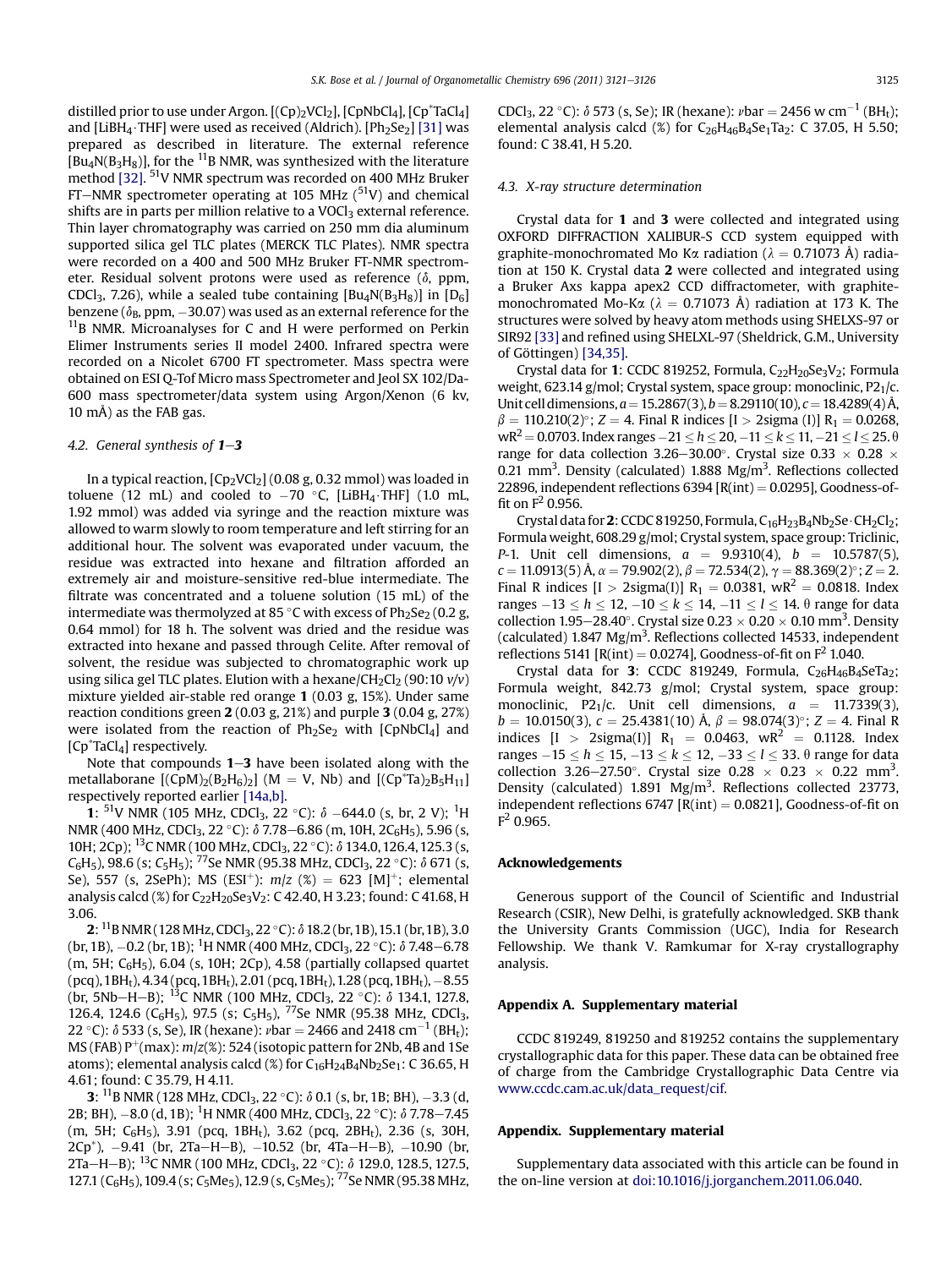distilled prior to use under Argon.  $[(Cp)_2VCl_2]$ ,  $[CpNbCl_4]$ ,  $[Cp^*TaCl_4]$ and [LiBH<sub>4</sub>·THF] were used as received (Aldrich). [Ph<sub>2</sub>Se<sub>2</sub>] [\[31\]](#page-5-0) was prepared as described in literature. The external reference  $[Bu<sub>4</sub>N(B<sub>3</sub>H<sub>8</sub>)],$  for the <sup>11</sup>B NMR, was synthesized with the literature method [\[32\].](#page-5-0) 51V NMR spectrum was recorded on 400 MHz Bruker FT-NMR spectrometer operating at 105 MHz  $(^{51}V)$  and chemical shifts are in parts per million relative to a VOCl<sub>3</sub> external reference. Thin layer chromatography was carried on 250 mm dia aluminum supported silica gel TLC plates (MERCK TLC Plates). NMR spectra were recorded on a 400 and 500 MHz Bruker FT-NMR spectrometer. Residual solvent protons were used as reference  $(\delta, ppm,$ CDCl<sub>3</sub>, 7.26), while a sealed tube containing  $[Bu_4N(B_3H_8)]$  in  $[D_6]$ benzene ( $\delta_{\text{B}}$ , ppm,  $-30.07$ ) was used as an external reference for the  $11B$  NMR. Microanalyses for C and H were performed on Perkin Elimer Instruments series II model 2400. Infrared spectra were recorded on a Nicolet 6700 FT spectrometer. Mass spectra were obtained on ESI Q-Tof Micro mass Spectrometer and Jeol SX 102/Da-600 mass spectrometer/data system using Argon/Xenon (6 kv, 10 mÅ) as the FAB gas.

#### 4.2. General synthesis of  $1-3$

In a typical reaction,  $[Cp_2VCl_2]$  (0.08 g, 0.32 mmol) was loaded in toluene (12 mL) and cooled to  $-70$  °C, [LiBH<sub>4</sub> $\cdot$ THF] (1.0 mL, 1.92 mmol) was added via syringe and the reaction mixture was allowed to warm slowly to room temperature and left stirring for an additional hour. The solvent was evaporated under vacuum, the residue was extracted into hexane and filtration afforded an extremely air and moisture-sensitive red-blue intermediate. The filtrate was concentrated and a toluene solution (15 mL) of the intermediate was thermolyzed at 85 °C with excess of  $Ph_2Se_2$  (0.2 g, 0.64 mmol) for 18 h. The solvent was dried and the residue was extracted into hexane and passed through Celite. After removal of solvent, the residue was subjected to chromatographic work up using silica gel TLC plates. Elution with a hexane/CH<sub>2</sub>Cl<sub>2</sub> (90:10  $v/v$ ) mixture yielded air-stable red orange 1 (0.03 g, 15%). Under same reaction conditions green  $2(0.03 \text{ g}, 21 \text{ g})$  and purple  $3(0.04 \text{ g}, 27 \text{ g})$ were isolated from the reaction of  $Ph<sub>2</sub>Se<sub>2</sub>$  with  $[ChNbCl<sub>4</sub>]$  and [Cp<sup>\*</sup>TaCl<sub>4</sub>] respectively.

Note that compounds  $1-3$  have been isolated along with the metallaborane  $[(CpM)_2(B_2H_6)_2]$  (M = V, Nb) and  $[(Cp^*Ta)_2B_5H_{11}]$ respectively reported earlier [\[14a,b\].](#page-5-0)

**1:** <sup>51</sup>V NMR (105 MHz, CDCl<sub>3</sub>, 22 °C):  $\delta$  –644.0 (s, br, 2 V); <sup>1</sup>H NMR (400 MHz, CDCl<sub>3</sub>, 22 °C):  $\delta$  7.78–6.86 (m, 10H, 2C<sub>6</sub>H<sub>5</sub>), 5.96 (s, 10H; 2Cp); <sup>13</sup>C NMR (100 MHz, CDCl<sub>3</sub>, 22 °C): δ 134.0, 126.4, 125.3 (s,  $C_6H_5$ ), 98.6 (s; C<sub>5</sub>H<sub>5</sub>); <sup>77</sup>Se NMR (95.38 MHz, CDCl<sub>3</sub>, 22 °C):  $\delta$  671 (s, Se), 557 (s, 2SePh); MS (ESI<sup>+</sup>):  $m/z$  (%) = 623 [M]<sup>+</sup>; elemental analysis calcd (%) for  $C_{22}H_{20}Se_3V_2$ : C 42.40, H 3.23; found: C 41.68, H 3.06.

**2:** <sup>11</sup>B NMR (128 MHz, CDCl<sub>3</sub>, 22 °C):  $\delta$  18.2 (br, 1B), 15.1 (br, 1B), 3.0 (br, 1B),  $-0.2$  (br, 1B); <sup>1</sup>H NMR (400 MHz, CDCl<sub>3</sub>, 22 °C):  $\delta$  7.48–6.78 (m, 5H;  $C_6H_5$ ), 6.04 (s, 10H; 2Cp), 4.58 (partially collapsed quartet (pcq), 1BH<sub>t</sub>), 4.34 (pcq, 1BH<sub>t</sub>), 2.01 (pcq, 1BH<sub>t</sub>), 1.28 (pcq, 1BH<sub>t</sub>),  $-8.55$ (br, 5Nb-H-B); <sup>13</sup>C NMR (100 MHz, CDCl<sub>3</sub>, 22 °C):  $\delta$  134.1, 127.8, 126.4, 124.6 (C<sub>6</sub>H<sub>5</sub>), 97.5 (s; C<sub>5</sub>H<sub>5</sub>), <sup>77</sup>Se NMR (95.38 MHz, CDCl<sub>3</sub>, 22 °C):  $\delta$  533 (s, Se), IR (hexane):  $vbar = 2466$  and 2418 cm<sup>-1</sup> (BH<sub>t</sub>); MS (FAB)  $P^+$ (max):  $m/z$ ( $\approx$ ): 524 (isotopic pattern for 2Nb, 4B and 1Se atoms); elemental analysis calcd  $(\%)$  for  $C_{16}H_{24}B_4Nb_2Se_1$ : C 36.65, H 4.61; found: C 35.79, H 4.11.

**3:** <sup>11</sup>B NMR (128 MHz, CDCl<sub>3</sub>, 22 °C):  $\delta$  0.1 (s, br, 1B; BH), -3.3 (d, 2B; BH),  $-8.0$  (d, 1B); <sup>1</sup>H NMR (400 MHz, CDCl<sub>3</sub>, 22 °C):  $\delta$  7.78–7.45 (m, 5H; C $_6H_5$ ), 3.91 (pcq, 1BH<sub>t</sub>), 3.62 (pcq, 2BH<sub>t</sub>), 2.36 (s, 30H,  $2Cp^*$ ),  $-9.41$  (br,  $2Ta-H-B$ ),  $-10.52$  (br,  $4Ta-H-B$ ),  $-10.90$  (br, 2Ta-H-B); <sup>13</sup>C NMR (100 MHz, CDCl<sub>3</sub>, 22 °C): δ 129.0, 128.5, 127.5, 127.1 ( $C_6H_5$ ), 109.4 (s;  $C_5Me_5$ ), 12.9 (s,  $C_5Me_5$ ); <sup>77</sup>Se NMR (95.38 MHz,

CDCl<sub>3</sub>, 22 °C):  $\delta$  573 (s, Se); IR (hexane):  $vbar = 2456$  w cm<sup>-1</sup> (BH<sub>t</sub>); elemental analysis calcd  $(\%)$  for C<sub>26</sub>H<sub>46</sub>B<sub>4</sub>Se<sub>1</sub>Ta<sub>2</sub>: C 37.05, H 5.50; found: C 38.41, H 5.20.

#### 4.3. X-ray structure determination

Crystal data for 1 and 3 were collected and integrated using OXFORD DIFFRACTION XALIBUR-S CCD system equipped with graphite-monochromated Mo K $\alpha$  radiation ( $\lambda = 0.71073$  Å) radiation at 150 K. Crystal data 2 were collected and integrated using a Bruker Axs kappa apex2 CCD diffractometer, with graphitemonochromated Mo-K $\alpha$  ( $\lambda = 0.71073$  Å) radiation at 173 K. The structures were solved by heavy atom methods using SHELXS-97 or SIR92 [\[33\]](#page-5-0) and refined using SHELXL-97 (Sheldrick, G.M., University of Göttingen) [\[34,35\]](#page-5-0).

Crystal data for 1: CCDC 819252, Formula,  $C_{22}H_{20}Se_3V_2$ ; Formula weight, 623.14 g/mol; Crystal system, space group: monoclinic,  $P2<sub>1</sub>/c$ . Unit cell dimensions,  $a = 15.2867(3)$ ,  $b = 8.29110(10)$ ,  $c = 18.4289(4)$  Å,  $\beta = 110.210(2)$ °; Z = 4. Final R indices [I > 2sigma (I)] R<sub>1</sub> = 0.0268, wR<sup>2</sup> = 0.0703. Index ranges  $-21 \le h \le 20$ ,  $-11 \le k \le 11$ ,  $-21 \le l \le 25$ .  $\theta$ range for data collection 3.26–30.00°. Crystal size 0.33  $\times$  0.28  $\times$ 0.21 mm<sup>3</sup>. Density (calculated) 1.888 Mg/m<sup>3</sup>. Reflections collected 22896, independent reflections  $6394$  [R(int) = 0.0295], Goodness-offit on  $F^2$  0.956.

Crystal data for 2: CCDC 819250, Formula,  $C_{16}H_{23}B_4Nb_2Se \cdot CH_2Cl_2$ ; Formula weight, 608.29 g/mol; Crystal system, space group: Triclinic, P-1. Unit cell dimensions,  $a = 9.9310(4)$ ,  $b = 10.5787(5)$ ,  $c = 11.0913(5)$  Å,  $\alpha = 79.902(2)$ ,  $\beta = 72.534(2)$ ,  $\gamma = 88.369(2)$ °;  $Z = 2$ . Final R indices  $[I > 2$ sigma(I)]  $R_1 = 0.0381$ , wR<sup>2</sup> = 0.0818. Index ranges  $-13 \le h \le 12$ ,  $-10 \le k \le 14$ ,  $-11 \le l \le 14$ .  $\theta$  range for data collection 1.95–28.40°. Crystal size  $0.23 \times 0.20 \times 0.10$  mm<sup>3</sup>. Density (calculated)  $1.847 \text{ Mg/m}^3$ . Reflections collected 14533, independent reflections 5141  $[R(int) = 0.0274]$ , Goodness-of-fit on  $F^2$  1.040.

Crystal data for 3: CCDC 819249, Formula,  $C_{26}H_{46}B_4$ SeTa<sub>2</sub>; Formula weight, 842.73 g/mol; Crystal system, space group: monoclinic, P21/c. Unit cell dimensions,  $a = 11.7339(3)$ ,  $b = 10.0150(3)$ ,  $c = 25.4381(10)$  Å,  $\beta = 98.074(3)$ °; Z = 4. Final R indices  $[I > 2$ sigma(I)]  $R_1 = 0.0463$ , wR<sup>2</sup> = 0.1128. Index ranges  $-15 \le h \le 15$ ,  $-13 \le k \le 12$ ,  $-33 \le l \le 33$ .  $\theta$  range for data collection 3.26–27.50°. Crystal size  $0.28 \times 0.23 \times 0.22$  mm<sup>3</sup>. Density (calculated) 1.891 Mg/m<sup>3</sup>. Reflections collected 23773, independent reflections 6747  $[R(int) = 0.0821]$ , Goodness-of-fit on  $F^2$  0.965.

#### Acknowledgements

Generous support of the Council of Scientific and Industrial Research (CSIR), New Delhi, is gratefully acknowledged. SKB thank the University Grants Commission (UGC), India for Research Fellowship. We thank V. Ramkumar for X-ray crystallography analysis.

#### Appendix A. Supplementary material

CCDC 819249, 819250 and 819252 contains the supplementary crystallographic data for this paper. These data can be obtained free of charge from the Cambridge Crystallographic Data Centre via [www.ccdc.cam.ac.uk/data\\_request/cif](http://www.ccdc.cam.ac.uk/data_request/cif).

#### Appendix. Supplementary material

Supplementary data associated with this article can be found in the on-line version at [doi:10.1016/j.jorganchem.2011.06.040.](http://dx.doi.org/10.1016/j.jorganchem.2011.06.040)